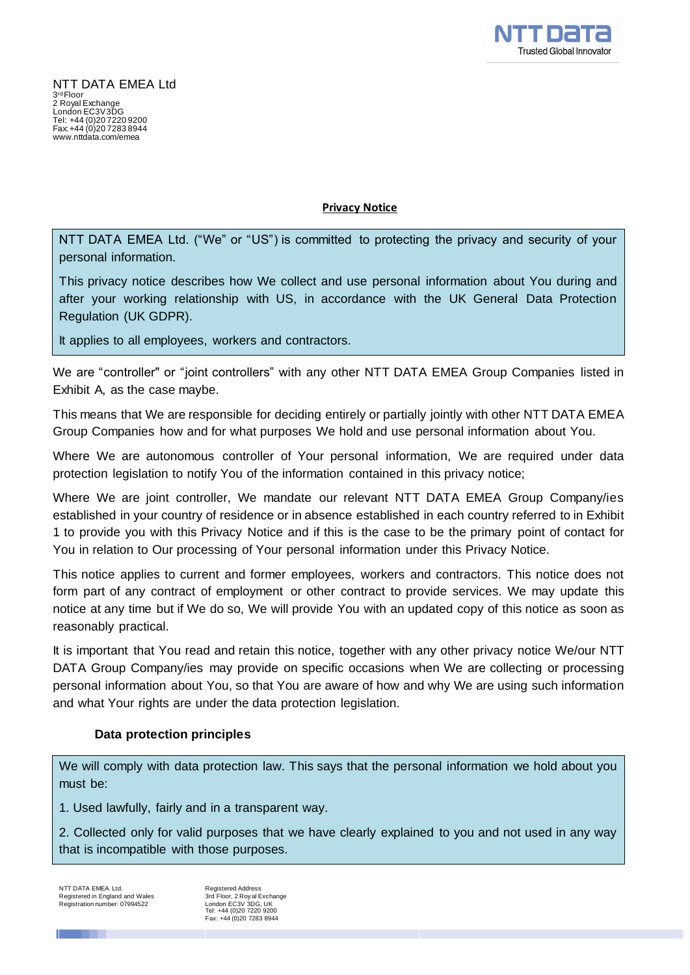

**Privacy Notice**

NTT DATA EMEA Ltd. ("We" or "US") is committed to protecting the privacy and security of your personal information.

This privacy notice describes how We collect and use personal information about You during and after your working relationship with US, in accordance with the UK General Data Protection Regulation (UK GDPR).

It applies to all employees, workers and contractors.

We are "controller" or "joint controllers" with any other NTT DATA EMEA Group Companies listed in Exhibit A, as the case maybe.

This means that We are responsible for deciding entirely or partially jointly with other NTT DATA EMEA Group Companies how and for what purposes We hold and use personal information about You.

Where We are autonomous controller of Your personal information, We are required under data protection legislation to notify You of the information contained in this privacy notice;

Where We are joint controller, We mandate our relevant NTT DATA EMEA Group Company/ies established in your country of residence or in absence established in each country referred to in Exhibit 1 to provide you with this Privacy Notice and if this is the case to be the primary point of contact for You in relation to Our processing of Your personal information under this Privacy Notice.

This notice applies to current and former employees, workers and contractors. This notice does not form part of any contract of employment or other contract to provide services. We may update this notice at any time but if We do so, We will provide You with an updated copy of this notice as soon as reasonably practical.

It is important that You read and retain this notice, together with any other privacy notice We/our NTT DATA Group Company/ies may provide on specific occasions when We are collecting or processing personal information about You, so that You are aware of how and why We are using such information and what Your rights are under the data protection legislation.

## **Data protection principles**

We will comply with data protection law. This says that the personal information we hold about you must be:

1. Used lawfully, fairly and in a transparent way.

2. Collected only for valid purposes that we have clearly explained to you and not used in any way that is incompatible with those purposes.

NTT DATA EMEA Ltd. Registered in England and Wales Registration number: 07994522 Registered Address 3rd Floor, 2 Roy al Exchange London EC3V 3DG, UK Tel: +44 (0)20 7220 9200 Fax: +44 (0)20 7283 8944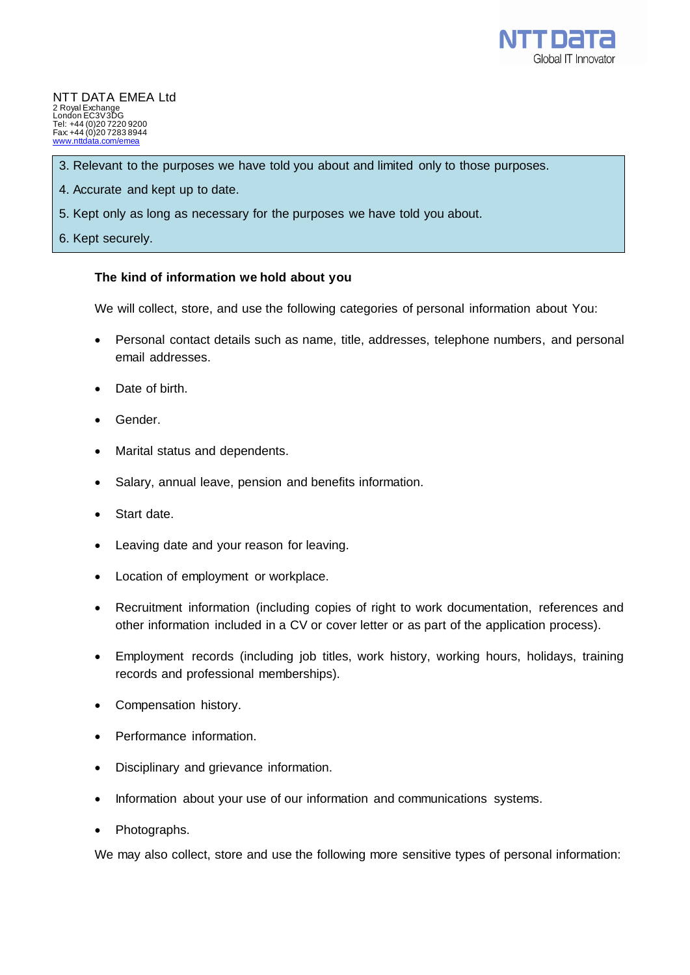

- 3. Relevant to the purposes we have told you about and limited only to those purposes.
- 4. Accurate and kept up to date.
- 5. Kept only as long as necessary for the purposes we have told you about.
- 6. Kept securely.

## **The kind of information we hold about you**

We will collect, store, and use the following categories of personal information about You:

- Personal contact details such as name, title, addresses, telephone numbers, and personal email addresses.
- Date of birth.
- Gender.
- Marital status and dependents.
- Salary, annual leave, pension and benefits information.
- Start date.
- Leaving date and your reason for leaving.
- Location of employment or workplace.
- Recruitment information (including copies of right to work documentation, references and other information included in a CV or cover letter or as part of the application process).
- Employment records (including job titles, work history, working hours, holidays, training records and professional memberships).
- Compensation history.
- Performance information.
- Disciplinary and grievance information.
- Information about your use of our information and communications systems.
- Photographs.

We may also collect, store and use the following more sensitive types of personal information: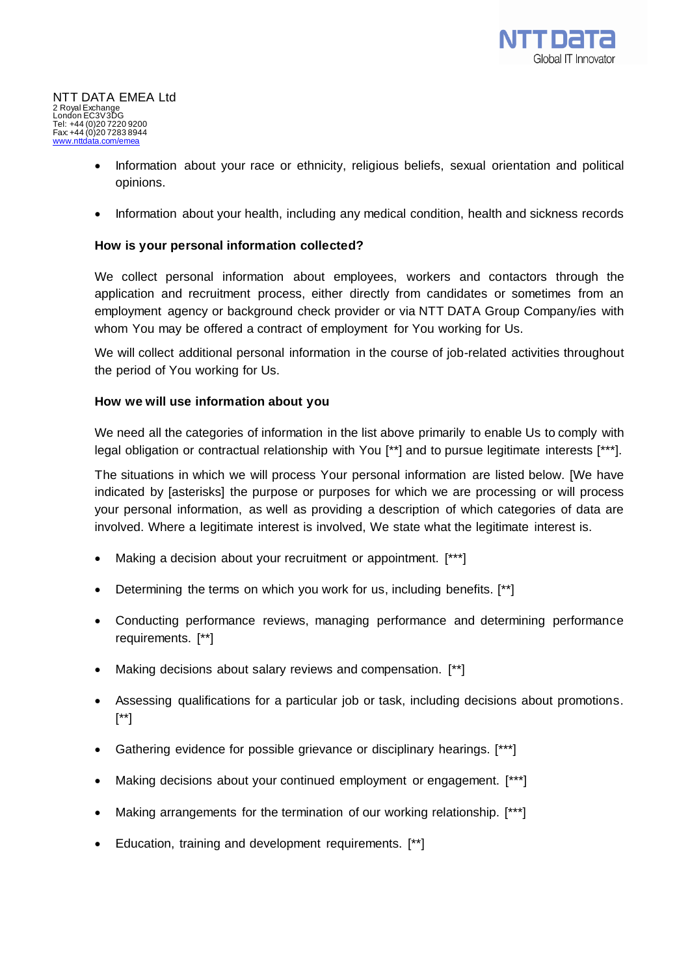

- Information about your race or ethnicity, religious beliefs, sexual orientation and political opinions.
- Information about your health, including any medical condition, health and sickness records

## **How is your personal information collected?**

We collect personal information about employees, workers and contactors through the application and recruitment process, either directly from candidates or sometimes from an employment agency or background check provider or via NTT DATA Group Company/ies with whom You may be offered a contract of employment for You working for Us.

We will collect additional personal information in the course of job-related activities throughout the period of You working for Us.

#### **How we will use information about you**

We need all the categories of information in the list above primarily to enable Us to comply with legal obligation or contractual relationship with You [\*\*] and to pursue legitimate interests [\*\*\*].

The situations in which we will process Your personal information are listed below. [We have indicated by [asterisks] the purpose or purposes for which we are processing or will process your personal information, as well as providing a description of which categories of data are involved. Where a legitimate interest is involved, We state what the legitimate interest is.

- Making a decision about your recruitment or appointment. [\*\*\*]
- Determining the terms on which you work for us, including benefits. [\*\*]
- Conducting performance reviews, managing performance and determining performance requirements. [\*\*]
- Making decisions about salary reviews and compensation. [\*\*]
- Assessing qualifications for a particular job or task, including decisions about promotions. [\*\*]
- Gathering evidence for possible grievance or disciplinary hearings. [\*\*\*]
- Making decisions about your continued employment or engagement. [\*\*\*]
- Making arrangements for the termination of our working relationship. [\*\*\*]
- Education, training and development requirements. [\*\*]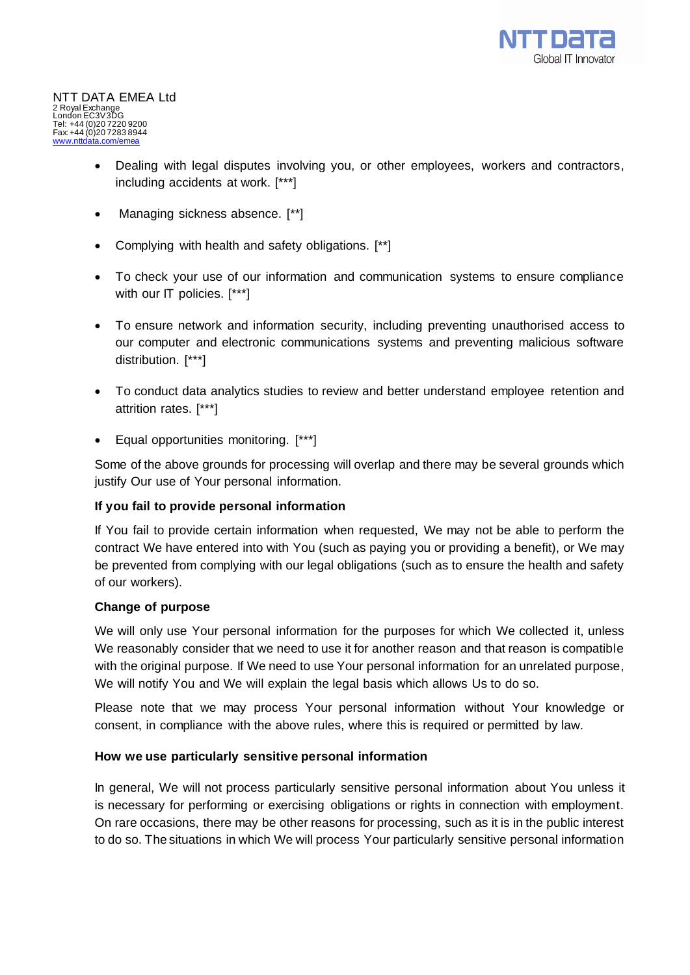

- Dealing with legal disputes involving you, or other employees, workers and contractors, including accidents at work. [\*\*\*]
- Managing sickness absence. [\*\*]
- Complying with health and safety obligations. [\*\*]
- To check your use of our information and communication systems to ensure compliance with our IT policies. [\*\*\*]
- To ensure network and information security, including preventing unauthorised access to our computer and electronic communications systems and preventing malicious software distribution. [\*\*\*]
- To conduct data analytics studies to review and better understand employee retention and attrition rates. [\*\*\*]
- Equal opportunities monitoring. [\*\*\*]

Some of the above grounds for processing will overlap and there may be several grounds which justify Our use of Your personal information.

#### **If you fail to provide personal information**

If You fail to provide certain information when requested, We may not be able to perform the contract We have entered into with You (such as paying you or providing a benefit), or We may be prevented from complying with our legal obligations (such as to ensure the health and safety of our workers).

#### **Change of purpose**

We will only use Your personal information for the purposes for which We collected it, unless We reasonably consider that we need to use it for another reason and that reason is compatible with the original purpose. If We need to use Your personal information for an unrelated purpose, We will notify You and We will explain the legal basis which allows Us to do so.

Please note that we may process Your personal information without Your knowledge or consent, in compliance with the above rules, where this is required or permitted by law.

#### **How we use particularly sensitive personal information**

In general, We will not process particularly sensitive personal information about You unless it is necessary for performing or exercising obligations or rights in connection with employment. On rare occasions, there may be other reasons for processing, such as it is in the public interest to do so. The situations in which We will process Your particularly sensitive personal information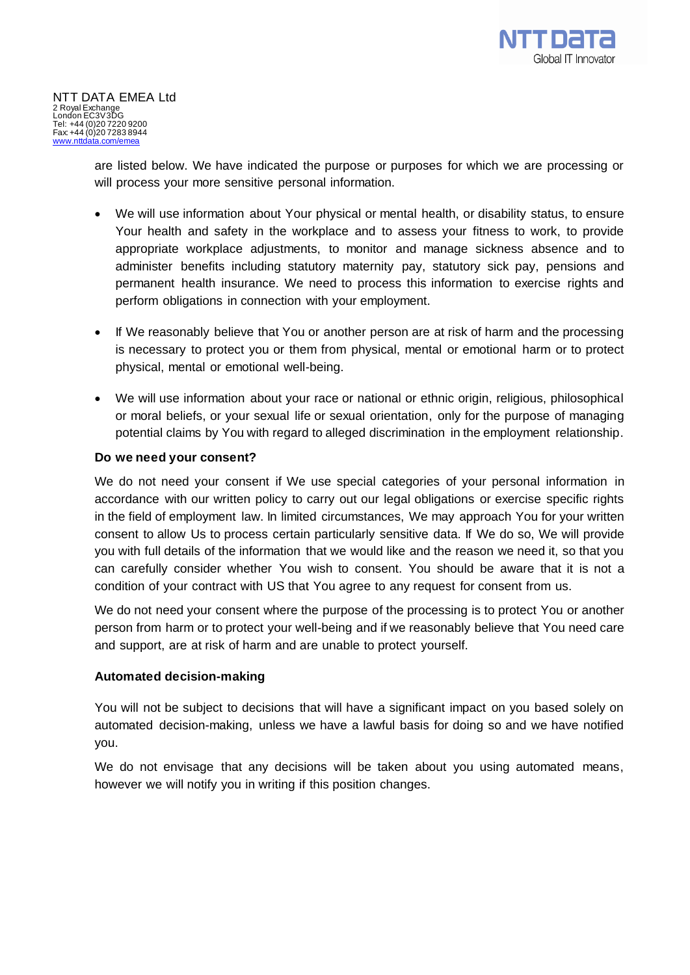are listed below. We have indicated the purpose or purposes for which we are processing or will process your more sensitive personal information.

- We will use information about Your physical or mental health, or disability status, to ensure Your health and safety in the workplace and to assess your fitness to work, to provide appropriate workplace adjustments, to monitor and manage sickness absence and to administer benefits including statutory maternity pay, statutory sick pay, pensions and permanent health insurance. We need to process this information to exercise rights and perform obligations in connection with your employment.
- If We reasonably believe that You or another person are at risk of harm and the processing is necessary to protect you or them from physical, mental or emotional harm or to protect physical, mental or emotional well-being.
- We will use information about your race or national or ethnic origin, religious, philosophical or moral beliefs, or your sexual life or sexual orientation, only for the purpose of managing potential claims by You with regard to alleged discrimination in the employment relationship.

## **Do we need your consent?**

We do not need your consent if We use special categories of your personal information in accordance with our written policy to carry out our legal obligations or exercise specific rights in the field of employment law. In limited circumstances, We may approach You for your written consent to allow Us to process certain particularly sensitive data. If We do so, We will provide you with full details of the information that we would like and the reason we need it, so that you can carefully consider whether You wish to consent. You should be aware that it is not a condition of your contract with US that You agree to any request for consent from us.

We do not need your consent where the purpose of the processing is to protect You or another person from harm or to protect your well-being and if we reasonably believe that You need care and support, are at risk of harm and are unable to protect yourself.

## **Automated decision-making**

You will not be subject to decisions that will have a significant impact on you based solely on automated decision-making, unless we have a lawful basis for doing so and we have notified you.

We do not envisage that any decisions will be taken about you using automated means, however we will notify you in writing if this position changes.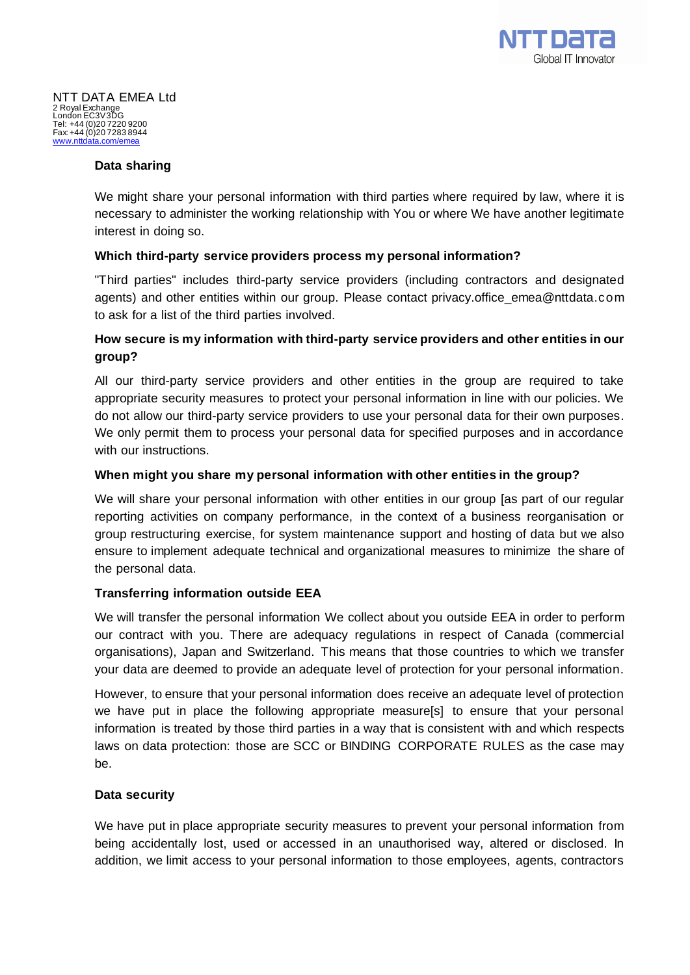

## **Data sharing**

We might share your personal information with third parties where required by law, where it is necessary to administer the working relationship with You or where We have another legitimate interest in doing so.

## **Which third-party service providers process my personal information?**

"Third parties" includes third-party service providers (including contractors and designated agents) and other entities within our group. Please contact privacy.office\_emea@nttdata.com to ask for a list of the third parties involved.

## **How secure is my information with third-party service providers and other entities in our group?**

All our third-party service providers and other entities in the group are required to take appropriate security measures to protect your personal information in line with our policies. We do not allow our third-party service providers to use your personal data for their own purposes. We only permit them to process your personal data for specified purposes and in accordance with our instructions.

## **When might you share my personal information with other entities in the group?**

We will share your personal information with other entities in our group [as part of our regular reporting activities on company performance, in the context of a business reorganisation or group restructuring exercise, for system maintenance support and hosting of data but we also ensure to implement adequate technical and organizational measures to minimize the share of the personal data.

## **Transferring information outside EEA**

We will transfer the personal information We collect about you outside EEA in order to perform our contract with you. There are adequacy regulations in respect of Canada (commercial organisations), Japan and Switzerland. This means that those countries to which we transfer your data are deemed to provide an adequate level of protection for your personal information.

However, to ensure that your personal information does receive an adequate level of protection we have put in place the following appropriate measure[s] to ensure that your personal information is treated by those third parties in a way that is consistent with and which respects laws on data protection: those are SCC or BINDING CORPORATE RULES as the case may be.

#### **Data security**

We have put in place appropriate security measures to prevent your personal information from being accidentally lost, used or accessed in an unauthorised way, altered or disclosed. In addition, we limit access to your personal information to those employees, agents, contractors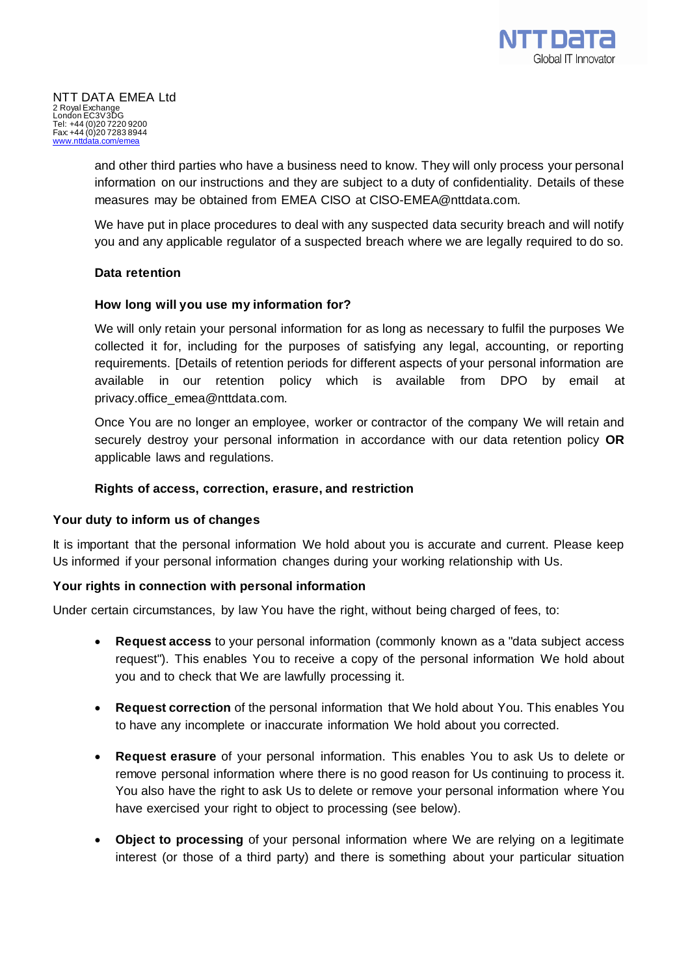and other third parties who have a business need to know. They will only process your personal information on our instructions and they are subject to a duty of confidentiality. Details of these measures may be obtained from EMEA CISO at CISO-EMEA@nttdata.com.

We have put in place procedures to deal with any suspected data security breach and will notify you and any applicable regulator of a suspected breach where we are legally required to do so.

## **Data retention**

## **How long will you use my information for?**

We will only retain your personal information for as long as necessary to fulfil the purposes We collected it for, including for the purposes of satisfying any legal, accounting, or reporting requirements. [Details of retention periods for different aspects of your personal information are available in our retention policy which is available from DPO by email at privacy.office\_emea@nttdata.com.

Once You are no longer an employee, worker or contractor of the company We will retain and securely destroy your personal information in accordance with our data retention policy **OR** applicable laws and regulations.

## **Rights of access, correction, erasure, and restriction**

## **Your duty to inform us of changes**

It is important that the personal information We hold about you is accurate and current. Please keep Us informed if your personal information changes during your working relationship with Us.

## **Your rights in connection with personal information**

Under certain circumstances, by law You have the right, without being charged of fees, to:

- **Request access** to your personal information (commonly known as a "data subject access request"). This enables You to receive a copy of the personal information We hold about you and to check that We are lawfully processing it.
- **Request correction** of the personal information that We hold about You. This enables You to have any incomplete or inaccurate information We hold about you corrected.
- **Request erasure** of your personal information. This enables You to ask Us to delete or remove personal information where there is no good reason for Us continuing to process it. You also have the right to ask Us to delete or remove your personal information where You have exercised your right to object to processing (see below).
- **Object to processing** of your personal information where We are relying on a legitimate interest (or those of a third party) and there is something about your particular situation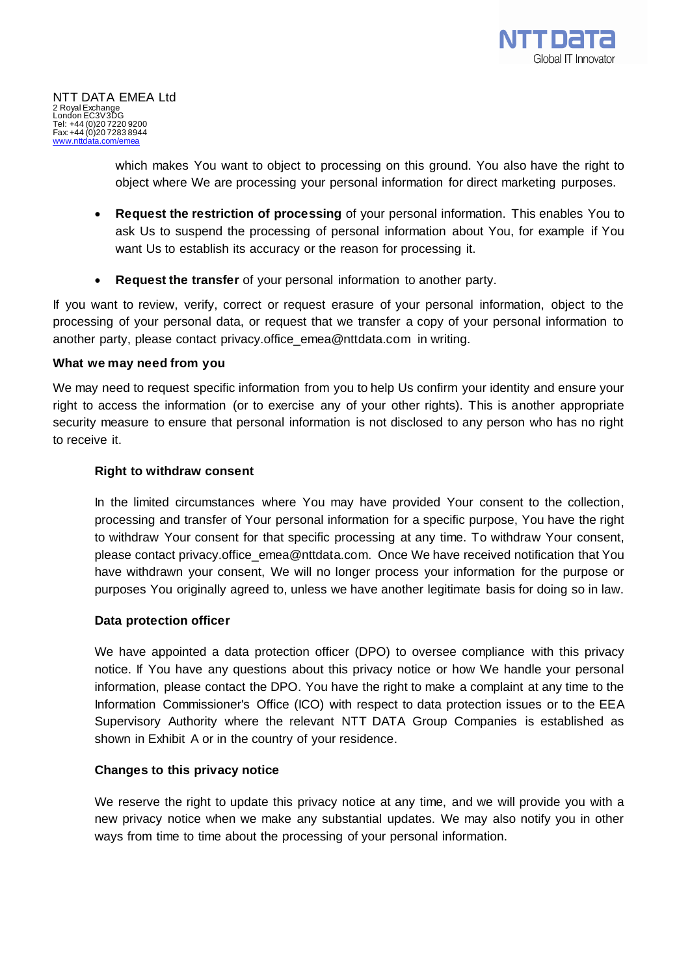

which makes You want to object to processing on this ground. You also have the right to object where We are processing your personal information for direct marketing purposes.

- **Request the restriction of processing** of your personal information. This enables You to ask Us to suspend the processing of personal information about You, for example if You want Us to establish its accuracy or the reason for processing it.
- **Request the transfer** of your personal information to another party.

If you want to review, verify, correct or request erasure of your personal information, object to the processing of your personal data, or request that we transfer a copy of your personal information to another party, please contact privacy.office\_emea@nttdata.com in writing.

## **What we may need from you**

We may need to request specific information from you to help Us confirm your identity and ensure your right to access the information (or to exercise any of your other rights). This is another appropriate security measure to ensure that personal information is not disclosed to any person who has no right to receive it.

## **Right to withdraw consent**

In the limited circumstances where You may have provided Your consent to the collection, processing and transfer of Your personal information for a specific purpose, You have the right to withdraw Your consent for that specific processing at any time. To withdraw Your consent, please contact privacy.office\_emea@nttdata.com. Once We have received notification that You have withdrawn your consent, We will no longer process your information for the purpose or purposes You originally agreed to, unless we have another legitimate basis for doing so in law.

#### **Data protection officer**

We have appointed a data protection officer (DPO) to oversee compliance with this privacy notice. If You have any questions about this privacy notice or how We handle your personal information, please contact the DPO. You have the right to make a complaint at any time to the Information Commissioner's Office (ICO) with respect to data protection issues or to the EEA Supervisory Authority where the relevant NTT DATA Group Companies is established as shown in Exhibit A or in the country of your residence.

## **Changes to this privacy notice**

We reserve the right to update this privacy notice at any time, and we will provide you with a new privacy notice when we make any substantial updates. We may also notify you in other ways from time to time about the processing of your personal information.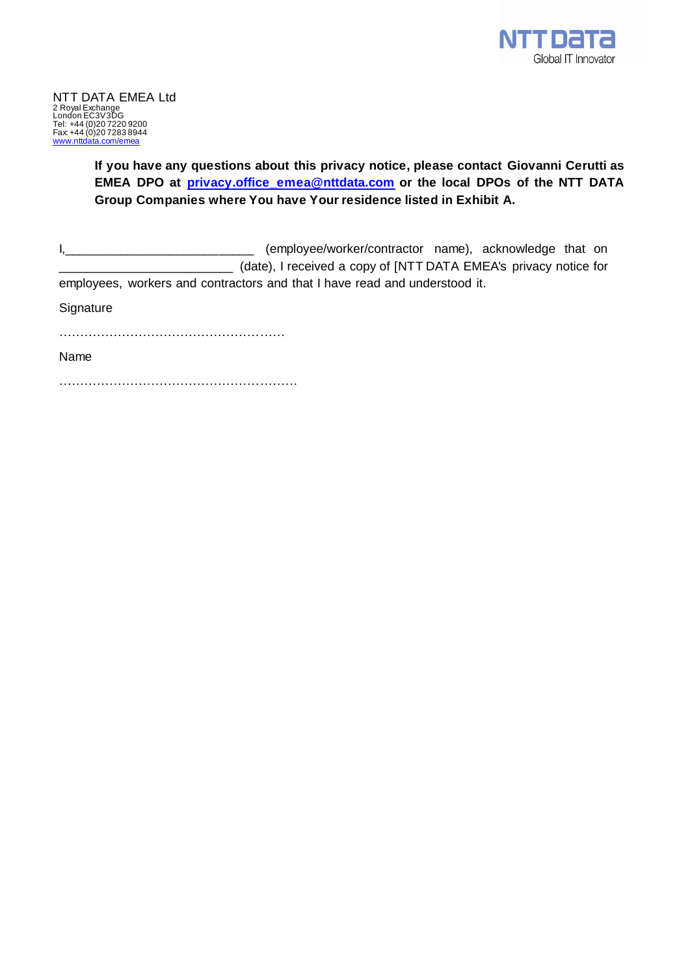

# **If you have any questions about this privacy notice, please contact Giovanni Cerutti as EMEA DPO at [privacy.office\\_emea@nttdata.com](mailto:privacy.office_emea@nttdata.com) or the local DPOs of the NTT DATA Group Companies where You have Your residence listed in Exhibit A.**

I<sub>1</sub>\_\_\_\_\_\_\_\_\_\_\_\_\_\_\_\_\_\_\_\_\_\_\_\_\_\_\_\_\_\_\_\_\_\_\_ (employee/worker/contractor name), acknowledge that on (date), I received a copy of [NTT DATA EMEA's privacy notice for employees, workers and contractors and that I have read and understood it.

**Signature** 

………………………………………………

Name

…………………………………………………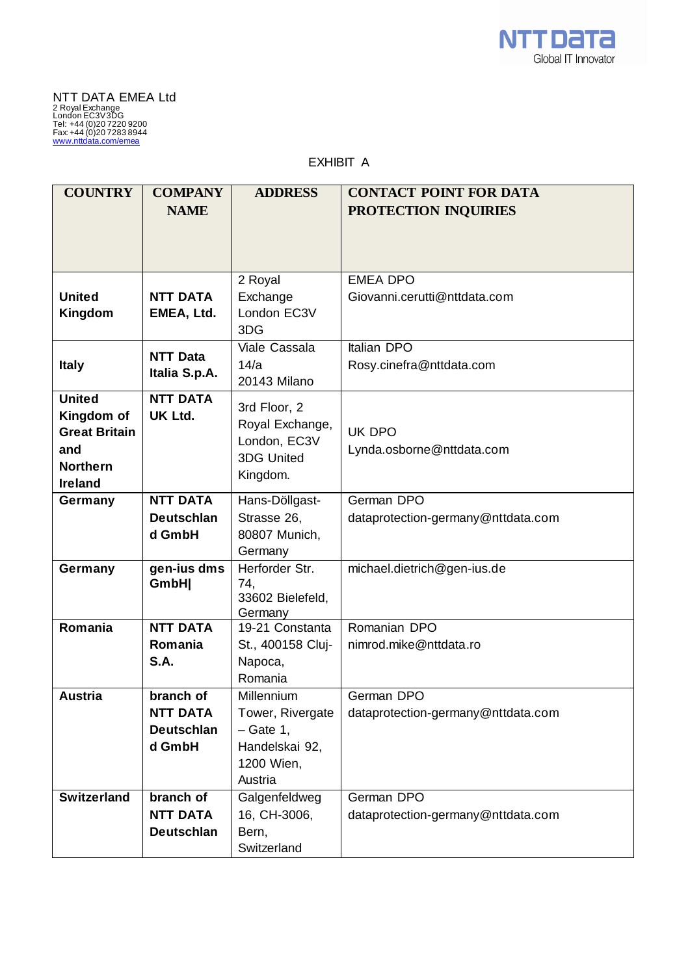

EXHIBIT A

| <b>COUNTRY</b>                     | <b>COMPANY</b>    | <b>ADDRESS</b>            | <b>CONTACT POINT FOR DATA</b>      |
|------------------------------------|-------------------|---------------------------|------------------------------------|
|                                    | <b>NAME</b>       |                           | PROTECTION INQUIRIES               |
|                                    |                   |                           |                                    |
|                                    |                   |                           |                                    |
|                                    |                   |                           |                                    |
|                                    |                   | 2 Royal                   | <b>EMEA DPO</b>                    |
| <b>United</b>                      | <b>NTT DATA</b>   | Exchange                  | Giovanni.cerutti@nttdata.com       |
| Kingdom                            | EMEA, Ltd.        | London EC3V<br>3DG        |                                    |
|                                    |                   | Viale Cassala             | <b>Italian DPO</b>                 |
|                                    | <b>NTT Data</b>   |                           |                                    |
| <b>Italy</b>                       | Italia S.p.A.     | 14/a                      | Rosy.cinefra@nttdata.com           |
|                                    |                   | 20143 Milano              |                                    |
| <b>United</b>                      | <b>NTT DATA</b>   | 3rd Floor, 2              |                                    |
| Kingdom of<br><b>Great Britain</b> | <b>UK Ltd.</b>    | Royal Exchange,           | UK DPO                             |
|                                    |                   | London, EC3V              |                                    |
| and                                |                   | 3DG United                | Lynda.osborne@nttdata.com          |
| <b>Northern</b>                    |                   | Kingdom.                  |                                    |
| <b>Ireland</b>                     | <b>NTT DATA</b>   |                           | German DPO                         |
| Germany                            |                   | Hans-Döllgast-            |                                    |
|                                    | <b>Deutschlan</b> | Strasse 26,               | dataprotection-germany@nttdata.com |
|                                    | d GmbH            | 80807 Munich,             |                                    |
|                                    | gen-ius dms       | Germany<br>Herforder Str. | michael.dietrich@gen-ius.de        |
| Germany                            | GmbH              | 74,                       |                                    |
|                                    |                   | 33602 Bielefeld,          |                                    |
|                                    |                   | Germany                   |                                    |
| Romania                            | <b>NTT DATA</b>   | 19-21 Constanta           | Romanian DPO                       |
|                                    | Romania           | St., 400158 Cluj-         | nimrod.mike@nttdata.ro             |
|                                    | S.A.              | Napoca,                   |                                    |
|                                    |                   | Romania                   |                                    |
| <b>Austria</b>                     | branch of         | Millennium                | German DPO                         |
|                                    | <b>NTT DATA</b>   | Tower, Rivergate          | dataprotection-germany@nttdata.com |
|                                    | <b>Deutschlan</b> | $-$ Gate 1,               |                                    |
|                                    | d GmbH            | Handelskai 92,            |                                    |
|                                    |                   | 1200 Wien,                |                                    |
|                                    |                   | Austria                   |                                    |
| <b>Switzerland</b>                 | branch of         | Galgenfeldweg             | German DPO                         |
|                                    | <b>NTT DATA</b>   | 16, CH-3006,              | dataprotection-germany@nttdata.com |
|                                    | <b>Deutschlan</b> | Bern,                     |                                    |
|                                    |                   | Switzerland               |                                    |